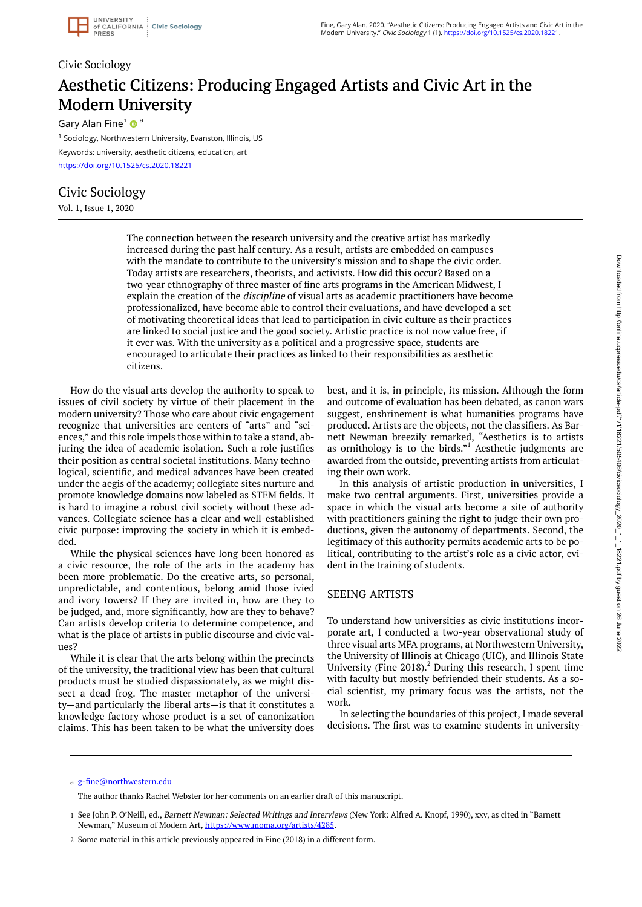

#### Civic Sociology

# Aesthetic Citizens: Producing Engaged Artists and Civic Art in the Modern University

Gary Alan Fine<sup>1</sup>  $\bullet$ <sup>a</sup>

<sup>1</sup> Sociology, Northwestern University, Evanston, Illinois, US Keywords: university, aesthetic citizens, education, art <https://doi.org/10.1525/cs.2020.18221>

### Civic Sociology

Vol. 1, Issue 1, 2020

The connection between the research university and the creative artist has markedly increased during the past half century. As a result, artists are embedded on campuses with the mandate to contribute to the university's mission and to shape the civic order. Today artists are researchers, theorists, and activists. How did this occur? Based on a two-year ethnography of three master of fine arts programs in the American Midwest, I explain the creation of the discipline of visual arts as academic practitioners have become professionalized, have become able to control their evaluations, and have developed a set of motivating theoretical ideas that lead to participation in civic culture as their practices are linked to social justice and the good society. Artistic practice is not now value free, if it ever was. With the university as a political and a progressive space, students are encouraged to articulate their practices as linked to their responsibilities as aesthetic citizens.

How do the visual arts develop the authority to speak to issues of civil society by virtue of their placement in the modern university? Those who care about civic engagement recognize that universities are centers of "arts" and "sciences," and this role impels those within to take a stand, abjuring the idea of academic isolation. Such a role justifies their position as central societal institutions. Many technological, scientific, and medical advances have been created under the aegis of the academy; collegiate sites nurture and promote knowledge domains now labeled as STEM fields. It is hard to imagine a robust civil society without these advances. Collegiate science has a clear and well-established civic purpose: improving the society in which it is embedded.

While the physical sciences have long been honored as a civic resource, the role of the arts in the academy has been more problematic. Do the creative arts, so personal, unpredictable, and contentious, belong amid those ivied and ivory towers? If they are invited in, how are they to be judged, and, more significantly, how are they to behave? Can artists develop criteria to determine competence, and what is the place of artists in public discourse and civic val- $11eS<sup>2</sup>$ 

While it is clear that the arts belong within the precincts of the university, the traditional view has been that cultural products must be studied dispassionately, as we might dissect a dead frog. The master metaphor of the university—and particularly the liberal arts—is that it constitutes a knowledge factory whose product is a set of canonization claims. This has been taken to be what the university does

best, and it is, in principle, its mission. Although the form and outcome of evaluation has been debated, as canon wars suggest, enshrinement is what humanities programs have produced. Artists are the objects, not the classifiers. As Barnett Newman breezily remarked, "Aesthetics is to artists as ornithology is to the birds." $1$  Aesthetic judgments are awarded from the outside, preventing artists from articulating their own work.

In this analysis of artistic production in universities, I make two central arguments. First, universities provide a space in which the visual arts become a site of authority with practitioners gaining the right to judge their own productions, given the autonomy of departments. Second, the legitimacy of this authority permits academic arts to be political, contributing to the artist's role as a civic actor, evident in the training of students.

#### SEEING ARTISTS

To understand how universities as civic institutions incorporate art, I conducted a two-year observational study of three visual arts MFA programs, at Northwestern University, the University of Illinois at Chicago (UIC), and Illinois State University (Fine 2018). $^2$  During this research, I spent time with faculty but mostly befriended their students. As a social scientist, my primary focus was the artists, not the work.

In selecting the boundaries of this project, I made several decisions. The first was to examine students in university-

#### a [g-fine@northwestern.edu](mailto:g-fine@northwestern.edu)

The author thanks Rachel Webster for her comments on an earlier draft of this manuscript.

<sup>1</sup> See John P. O'Neill, ed., *Barnett Newman: Selected Writings and Interviews* (New York: Alfred A. Knopf, 1990), xxv, as cited in "Barnett Newman," Museum of Modern Art, [https://www.moma.org/artists/4285.](https://www.moma.org/artists/4285)

<sup>2</sup> Some material in this article previously appeared in Fine (2018) in a different form.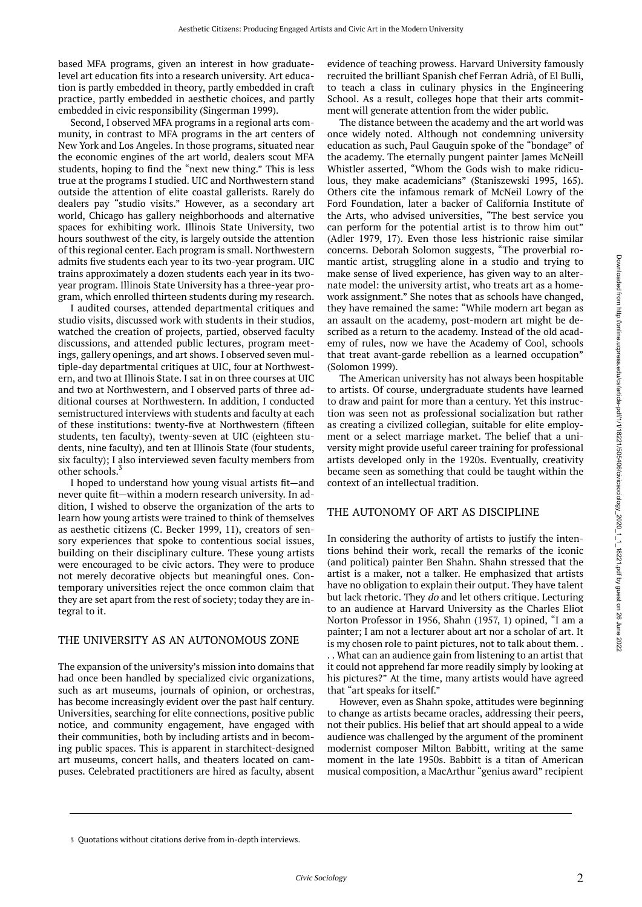based MFA programs, given an interest in how graduatelevel art education fits into a research university. Art education is partly embedded in theory, partly embedded in craft practice, partly embedded in aesthetic choices, and partly embedded in civic responsibility (Singerman 1999).

Second, I observed MFA programs in a regional arts community, in contrast to MFA programs in the art centers of New York and Los Angeles. In those programs, situated near the economic engines of the art world, dealers scout MFA students, hoping to find the "next new thing." This is less true at the programs I studied. UIC and Northwestern stand outside the attention of elite coastal gallerists. Rarely do dealers pay "studio visits." However, as a secondary art world, Chicago has gallery neighborhoods and alternative spaces for exhibiting work. Illinois State University, two hours southwest of the city, is largely outside the attention of this regional center. Each program is small. Northwestern admits five students each year to its two-year program. UIC trains approximately a dozen students each year in its twoyear program. Illinois State University has a three-year program, which enrolled thirteen students during my research.

I audited courses, attended departmental critiques and studio visits, discussed work with students in their studios, watched the creation of projects, partied, observed faculty discussions, and attended public lectures, program meetings, gallery openings, and art shows. I observed seven multiple-day departmental critiques at UIC, four at Northwestern, and two at Illinois State. I sat in on three courses at UIC and two at Northwestern, and I observed parts of three additional courses at Northwestern. In addition, I conducted semistructured interviews with students and faculty at each of these institutions: twenty-five at Northwestern (fifteen students, ten faculty), twenty-seven at UIC (eighteen students, nine faculty), and ten at Illinois State (four students, six faculty); I also interviewed seven faculty members from other schools.

I hoped to understand how young visual artists fit—and never quite fit—within a modern research university. In addition, I wished to observe the organization of the arts to learn how young artists were trained to think of themselves as aesthetic citizens (C. Becker 1999, 11), creators of sensory experiences that spoke to contentious social issues, building on their disciplinary culture. These young artists were encouraged to be civic actors. They were to produce not merely decorative objects but meaningful ones. Contemporary universities reject the once common claim that they are set apart from the rest of society; today they are integral to it.

#### THE UNIVERSITY AS AN AUTONOMOUS ZONE

The expansion of the university's mission into domains that had once been handled by specialized civic organizations, such as art museums, journals of opinion, or orchestras, has become increasingly evident over the past half century. Universities, searching for elite connections, positive public notice, and community engagement, have engaged with their communities, both by including artists and in becoming public spaces. This is apparent in starchitect-designed art museums, concert halls, and theaters located on campuses. Celebrated practitioners are hired as faculty, absent

evidence of teaching prowess. Harvard University famously recruited the brilliant Spanish chef Ferran Adrià, of El Bulli, to teach a class in culinary physics in the Engineering School. As a result, colleges hope that their arts commitment will generate attention from the wider public.

The distance between the academy and the art world was once widely noted. Although not condemning university education as such, Paul Gauguin spoke of the "bondage" of the academy. The eternally pungent painter James McNeill Whistler asserted, "Whom the Gods wish to make ridiculous, they make academicians" (Staniszewski 1995, 165). Others cite the infamous remark of McNeil Lowry of the Ford Foundation, later a backer of California Institute of the Arts, who advised universities, "The best service you can perform for the potential artist is to throw him out" (Adler 1979, 17). Even those less histrionic raise similar concerns. Deborah Solomon suggests, "The proverbial romantic artist, struggling alone in a studio and trying to make sense of lived experience, has given way to an alternate model: the university artist, who treats art as a homework assignment." She notes that as schools have changed, they have remained the same: "While modern art began as an assault on the academy, post-modern art might be described as a return to the academy. Instead of the old academy of rules, now we have the Academy of Cool, schools that treat avant-garde rebellion as a learned occupation" (Solomon 1999).

The American university has not always been hospitable to artists. Of course, undergraduate students have learned to draw and paint for more than a century. Yet this instruction was seen not as professional socialization but rather as creating a civilized collegian, suitable for elite employment or a select marriage market. The belief that a university might provide useful career training for professional artists developed only in the 1920s. Eventually, creativity became seen as something that could be taught within the context of an intellectual tradition.

#### THE AUTONOMY OF ART AS DISCIPLINE

In considering the authority of artists to justify the intentions behind their work, recall the remarks of the iconic (and political) painter Ben Shahn. Shahn stressed that the artist is a maker, not a talker. He emphasized that artists have no obligation to explain their output. They have talent but lack rhetoric. They do and let others critique. Lecturing to an audience at Harvard University as the Charles Eliot Norton Professor in 1956, Shahn (1957, 1) opined, "I am a painter; I am not a lecturer about art nor a scholar of art. It is my chosen role to paint pictures, not to talk about them. . . . What can an audience gain from listening to an artist that it could not apprehend far more readily simply by looking at his pictures?" At the time, many artists would have agreed that "art speaks for itself."

However, even as Shahn spoke, attitudes were beginning to change as artists became oracles, addressing their peers, not their publics. His belief that art should appeal to a wide audience was challenged by the argument of the prominent modernist composer Milton Babbitt, writing at the same moment in the late 1950s. Babbitt is a titan of American musical composition, a MacArthur "genius award" recipient

<sup>3</sup> Quotations without citations derive from in-depth interviews.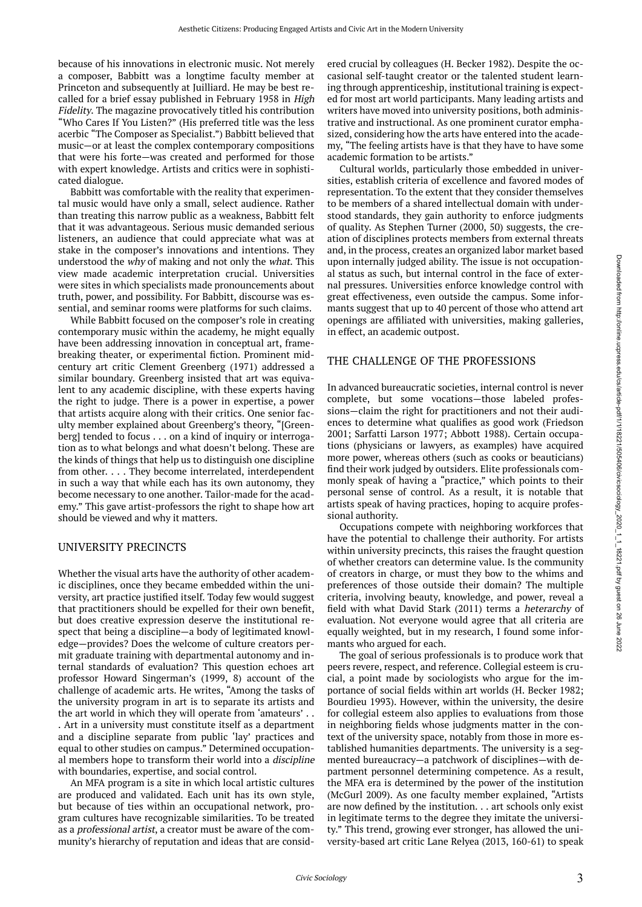because of his innovations in electronic music. Not merely a composer, Babbitt was a longtime faculty member at Princeton and subsequently at Juilliard. He may be best recalled for a brief essay published in February 1958 in High Fidelity. The magazine provocatively titled his contribution "Who Cares If You Listen?" (His preferred title was the less acerbic "The Composer as Specialist.") Babbitt believed that music—or at least the complex contemporary compositions that were his forte—was created and performed for those with expert knowledge. Artists and critics were in sophisticated dialogue.

Babbitt was comfortable with the reality that experimental music would have only a small, select audience. Rather than treating this narrow public as a weakness, Babbitt felt that it was advantageous. Serious music demanded serious listeners, an audience that could appreciate what was at stake in the composer's innovations and intentions. They understood the why of making and not only the what. This view made academic interpretation crucial. Universities were sites in which specialists made pronouncements about truth, power, and possibility. For Babbitt, discourse was essential, and seminar rooms were platforms for such claims.

While Babbitt focused on the composer's role in creating contemporary music within the academy, he might equally have been addressing innovation in conceptual art, framebreaking theater, or experimental fiction. Prominent midcentury art critic Clement Greenberg (1971) addressed a similar boundary. Greenberg insisted that art was equivalent to any academic discipline, with these experts having the right to judge. There is a power in expertise, a power that artists acquire along with their critics. One senior faculty member explained about Greenberg's theory, "[Greenberg] tended to focus . . . on a kind of inquiry or interrogation as to what belongs and what doesn't belong. These are the kinds of things that help us to distinguish one discipline from other. . . . They become interrelated, interdependent in such a way that while each has its own autonomy, they become necessary to one another. Tailor-made for the academy." This gave artist-professors the right to shape how art should be viewed and why it matters.

#### UNIVERSITY PRECINCTS

Whether the visual arts have the authority of other academic disciplines, once they became embedded within the university, art practice justified itself. Today few would suggest that practitioners should be expelled for their own benefit, but does creative expression deserve the institutional respect that being a discipline—a body of legitimated knowledge—provides? Does the welcome of culture creators permit graduate training with departmental autonomy and internal standards of evaluation? This question echoes art professor Howard Singerman's (1999, 8) account of the challenge of academic arts. He writes, "Among the tasks of the university program in art is to separate its artists and the art world in which they will operate from 'amateurs' . . . Art in a university must constitute itself as a department and a discipline separate from public 'lay' practices and equal to other studies on campus." Determined occupational members hope to transform their world into a discipline with boundaries, expertise, and social control.

An MFA program is a site in which local artistic cultures are produced and validated. Each unit has its own style, but because of ties within an occupational network, program cultures have recognizable similarities. To be treated as a professional artist, a creator must be aware of the community's hierarchy of reputation and ideas that are considered crucial by colleagues (H. Becker 1982). Despite the occasional self-taught creator or the talented student learning through apprenticeship, institutional training is expected for most art world participants. Many leading artists and writers have moved into university positions, both administrative and instructional. As one prominent curator emphasized, considering how the arts have entered into the academy, "The feeling artists have is that they have to have some academic formation to be artists."

Cultural worlds, particularly those embedded in universities, establish criteria of excellence and favored modes of representation. To the extent that they consider themselves to be members of a shared intellectual domain with understood standards, they gain authority to enforce judgments of quality. As Stephen Turner (2000, 50) suggests, the creation of disciplines protects members from external threats and, in the process, creates an organized labor market based upon internally judged ability. The issue is not occupational status as such, but internal control in the face of external pressures. Universities enforce knowledge control with great effectiveness, even outside the campus. Some informants suggest that up to 40 percent of those who attend art openings are affiliated with universities, making galleries, in effect, an academic outpost.

#### THE CHALLENGE OF THE PROFESSIONS

In advanced bureaucratic societies, internal control is never complete, but some vocations—those labeled professions—claim the right for practitioners and not their audiences to determine what qualifies as good work (Friedson 2001; Sarfatti Larson 1977; Abbott 1988). Certain occupations (physicians or lawyers, as examples) have acquired more power, whereas others (such as cooks or beauticians) find their work judged by outsiders. Elite professionals commonly speak of having a "practice," which points to their personal sense of control. As a result, it is notable that artists speak of having practices, hoping to acquire professional authority.

Occupations compete with neighboring workforces that have the potential to challenge their authority. For artists within university precincts, this raises the fraught question of whether creators can determine value. Is the community of creators in charge, or must they bow to the whims and preferences of those outside their domain? The multiple criteria, involving beauty, knowledge, and power, reveal a field with what David Stark (2011) terms a heterarchy of evaluation. Not everyone would agree that all criteria are equally weighted, but in my research, I found some informants who argued for each.

The goal of serious professionals is to produce work that peers revere, respect, and reference. Collegial esteem is crucial, a point made by sociologists who argue for the importance of social fields within art worlds (H. Becker 1982; Bourdieu 1993). However, within the university, the desire for collegial esteem also applies to evaluations from those in neighboring fields whose judgments matter in the context of the university space, notably from those in more established humanities departments. The university is a segmented bureaucracy—a patchwork of disciplines—with department personnel determining competence. As a result, the MFA era is determined by the power of the institution (McGurl 2009). As one faculty member explained, "Artists are now defined by the institution. . . art schools only exist in legitimate terms to the degree they imitate the university." This trend, growing ever stronger, has allowed the university-based art critic Lane Relyea (2013, 160-61) to speak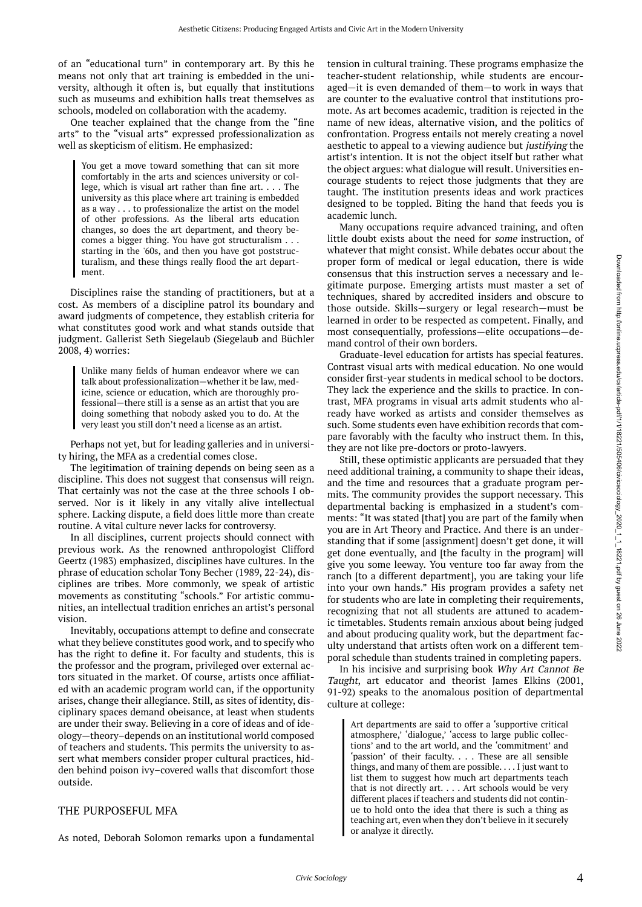of an "educational turn" in contemporary art. By this he means not only that art training is embedded in the university, although it often is, but equally that institutions such as museums and exhibition halls treat themselves as schools, modeled on collaboration with the academy.

One teacher explained that the change from the "fine arts" to the "visual arts" expressed professionalization as well as skepticism of elitism. He emphasized:

You get a move toward something that can sit more comfortably in the arts and sciences university or college, which is visual art rather than fine art. . . . The university as this place where art training is embedded as a way . . . to professionalize the artist on the model of other professions. As the liberal arts education changes, so does the art department, and theory becomes a bigger thing. You have got structuralism . . . starting in the '60s, and then you have got poststructuralism, and these things really flood the art department.

Disciplines raise the standing of practitioners, but at a cost. As members of a discipline patrol its boundary and award judgments of competence, they establish criteria for what constitutes good work and what stands outside that judgment. Gallerist Seth Siegelaub (Siegelaub and Büchler 2008, 4) worries:

Unlike many fields of human endeavor where we can talk about professionalization—whether it be law, medicine, science or education, which are thoroughly professional—there still is a sense as an artist that you are doing something that nobody asked you to do. At the very least you still don't need a license as an artist.

Perhaps not yet, but for leading galleries and in university hiring, the MFA as a credential comes close.

The legitimation of training depends on being seen as a discipline. This does not suggest that consensus will reign. That certainly was not the case at the three schools I observed. Nor is it likely in any vitally alive intellectual sphere. Lacking dispute, a field does little more than create routine. A vital culture never lacks for controversy.

In all disciplines, current projects should connect with previous work. As the renowned anthropologist Clifford Geertz (1983) emphasized, disciplines have cultures. In the phrase of education scholar Tony Becher (1989, 22-24), disciplines are tribes. More commonly, we speak of artistic movements as constituting "schools." For artistic communities, an intellectual tradition enriches an artist's personal vision.

Inevitably, occupations attempt to define and consecrate what they believe constitutes good work, and to specify who has the right to define it. For faculty and students, this is the professor and the program, privileged over external actors situated in the market. Of course, artists once affiliated with an academic program world can, if the opportunity arises, change their allegiance. Still, as sites of identity, disciplinary spaces demand obeisance, at least when students are under their sway. Believing in a core of ideas and of ideology—theory–depends on an institutional world composed of teachers and students. This permits the university to assert what members consider proper cultural practices, hidden behind poison ivy–covered walls that discomfort those outside.

#### THE PURPOSEFUL MFA

As noted, Deborah Solomon remarks upon a fundamental

tension in cultural training. These programs emphasize the teacher-student relationship, while students are encouraged—it is even demanded of them—to work in ways that are counter to the evaluative control that institutions promote. As art becomes academic, tradition is rejected in the name of new ideas, alternative vision, and the politics of confrontation. Progress entails not merely creating a novel aesthetic to appeal to a viewing audience but justifying the artist's intention. It is not the object itself but rather what the object argues: what dialogue will result. Universities encourage students to reject those judgments that they are taught. The institution presents ideas and work practices designed to be toppled. Biting the hand that feeds you is academic lunch.

Many occupations require advanced training, and often little doubt exists about the need for some instruction, of whatever that might consist. While debates occur about the proper form of medical or legal education, there is wide consensus that this instruction serves a necessary and legitimate purpose. Emerging artists must master a set of techniques, shared by accredited insiders and obscure to those outside. Skills—surgery or legal research—must be learned in order to be respected as competent. Finally, and most consequentially, professions—elite occupations—demand control of their own borders.

Graduate-level education for artists has special features. Contrast visual arts with medical education. No one would consider first-year students in medical school to be doctors. They lack the experience and the skills to practice. In contrast, MFA programs in visual arts admit students who already have worked as artists and consider themselves as such. Some students even have exhibition records that compare favorably with the faculty who instruct them. In this, they are not like pre-doctors or proto-lawyers.

Still, these optimistic applicants are persuaded that they need additional training, a community to shape their ideas, and the time and resources that a graduate program permits. The community provides the support necessary. This departmental backing is emphasized in a student's comments: "It was stated [that] you are part of the family when you are in Art Theory and Practice. And there is an understanding that if some [assignment] doesn't get done, it will get done eventually, and [the faculty in the program] will give you some leeway. You venture too far away from the ranch [to a different department], you are taking your life into your own hands." His program provides a safety net for students who are late in completing their requirements, recognizing that not all students are attuned to academic timetables. Students remain anxious about being judged and about producing quality work, but the department faculty understand that artists often work on a different temporal schedule than students trained in completing papers.

In his incisive and surprising book Why Art Cannot Be Taught, art educator and theorist James Elkins (2001, 91-92) speaks to the anomalous position of departmental culture at college:

Art departments are said to offer a 'supportive critical atmosphere,' 'dialogue,' 'access to large public collections' and to the art world, and the 'commitment' and 'passion' of their faculty. . . . These are all sensible things, and many of them are possible. . . . I just want to list them to suggest how much art departments teach that is not directly art. . . . Art schools would be very different places if teachers and students did not continue to hold onto the idea that there is such a thing as teaching art, even when they don't believe in it securely or analyze it directly.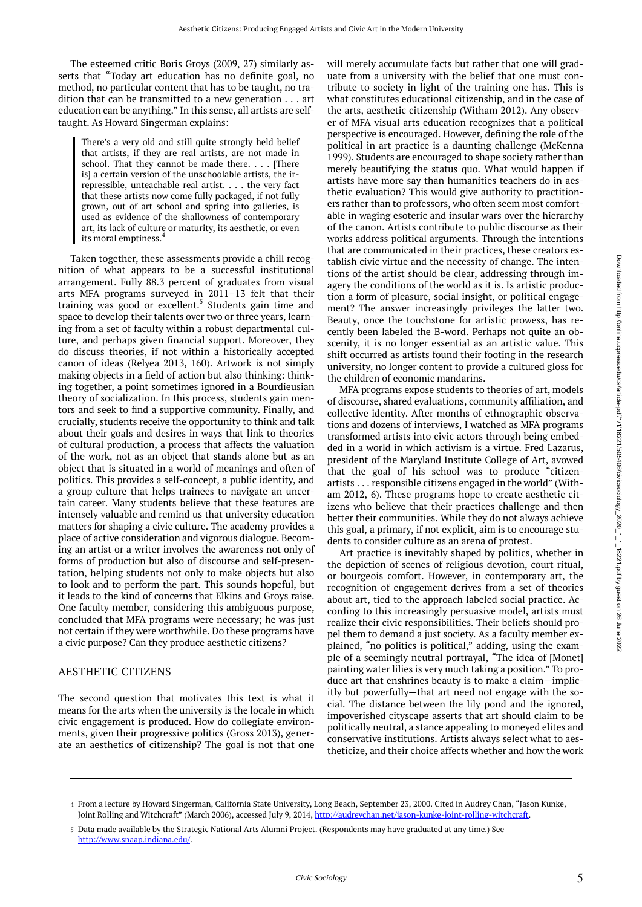The esteemed critic Boris Groys (2009, 27) similarly asserts that "Today art education has no definite goal, no method, no particular content that has to be taught, no tradition that can be transmitted to a new generation . . . art education can be anything." In this sense, all artists are selftaught. As Howard Singerman explains:

There's a very old and still quite strongly held belief that artists, if they are real artists, are not made in school. That they cannot be made there. . . . [There is] a certain version of the unschoolable artists, the irrepressible, unteachable real artist. . . . the very fact that these artists now come fully packaged, if not fully grown, out of art school and spring into galleries, is used as evidence of the shallowness of contemporary art, its lack of culture or maturity, its aesthetic, or even its moral emptiness.<sup>4</sup>

Taken together, these assessments provide a chill recognition of what appears to be a successful institutional arrangement. Fully 88.3 percent of graduates from visual arts MFA programs surveyed in 2011–13 felt that their training was good or excellent.<sup>5</sup> Students gain time and space to develop their talents over two or three years, learning from a set of faculty within a robust departmental culture, and perhaps given financial support. Moreover, they do discuss theories, if not within a historically accepted canon of ideas (Relyea 2013, 160). Artwork is not simply making objects in a field of action but also thinking: thinking together, a point sometimes ignored in a Bourdieusian theory of socialization. In this process, students gain mentors and seek to find a supportive community. Finally, and crucially, students receive the opportunity to think and talk about their goals and desires in ways that link to theories of cultural production, a process that affects the valuation of the work, not as an object that stands alone but as an object that is situated in a world of meanings and often of politics. This provides a self-concept, a public identity, and a group culture that helps trainees to navigate an uncertain career. Many students believe that these features are intensely valuable and remind us that university education matters for shaping a civic culture. The academy provides a place of active consideration and vigorous dialogue. Becoming an artist or a writer involves the awareness not only of forms of production but also of discourse and self-presentation, helping students not only to make objects but also to look and to perform the part. This sounds hopeful, but it leads to the kind of concerns that Elkins and Groys raise. One faculty member, considering this ambiguous purpose, concluded that MFA programs were necessary; he was just not certain if they were worthwhile. Do these programs have a civic purpose? Can they produce aesthetic citizens?

#### AESTHETIC CITIZENS

The second question that motivates this text is what it means for the arts when the university is the locale in which civic engagement is produced. How do collegiate environments, given their progressive politics (Gross 2013), generate an aesthetics of citizenship? The goal is not that one

will merely accumulate facts but rather that one will graduate from a university with the belief that one must contribute to society in light of the training one has. This is what constitutes educational citizenship, and in the case of the arts, aesthetic citizenship (Witham 2012). Any observer of MFA visual arts education recognizes that a political perspective is encouraged. However, defining the role of the political in art practice is a daunting challenge (McKenna 1999). Students are encouraged to shape society rather than merely beautifying the status quo. What would happen if artists have more say than humanities teachers do in aesthetic evaluation? This would give authority to practitioners rather than to professors, who often seem most comfortable in waging esoteric and insular wars over the hierarchy of the canon. Artists contribute to public discourse as their works address political arguments. Through the intentions that are communicated in their practices, these creators establish civic virtue and the necessity of change. The intentions of the artist should be clear, addressing through imagery the conditions of the world as it is. Is artistic production a form of pleasure, social insight, or political engagement? The answer increasingly privileges the latter two. Beauty, once the touchstone for artistic prowess, has recently been labeled the B-word. Perhaps not quite an obscenity, it is no longer essential as an artistic value. This shift occurred as artists found their footing in the research university, no longer content to provide a cultured gloss for the children of economic mandarins.

MFA programs expose students to theories of art, models of discourse, shared evaluations, community affiliation, and collective identity. After months of ethnographic observations and dozens of interviews, I watched as MFA programs transformed artists into civic actors through being embedded in a world in which activism is a virtue. Fred Lazarus, president of the Maryland Institute College of Art, avowed that the goal of his school was to produce "citizenartists . . . responsible citizens engaged in the world" (Witham 2012, 6). These programs hope to create aesthetic citizens who believe that their practices challenge and then better their communities. While they do not always achieve this goal, a primary, if not explicit, aim is to encourage students to consider culture as an arena of protest.

Art practice is inevitably shaped by politics, whether in the depiction of scenes of religious devotion, court ritual, or bourgeois comfort. However, in contemporary art, the recognition of engagement derives from a set of theories about art, tied to the approach labeled social practice. According to this increasingly persuasive model, artists must realize their civic responsibilities. Their beliefs should propel them to demand a just society. As a faculty member explained, "no politics is political," adding, using the example of a seemingly neutral portrayal, "The idea of [Monet] painting water lilies is very much taking a position." To produce art that enshrines beauty is to make a claim—implicitly but powerfully—that art need not engage with the social. The distance between the lily pond and the ignored, impoverished cityscape asserts that art should claim to be politically neutral, a stance appealing to moneyed elites and conservative institutions. Artists always select what to aestheticize, and their choice affects whether and how the work

From a lecture by Howard Singerman, California State University, Long Beach, September 23, 2000. Cited in Audrey Chan, "Jason Kunke, 4 Joint Rolling and Witchcraft" (March 2006), accessed July 9, 2014,<http://audreychan.net/jason-kunke-joint-rolling-witchcraft>.

Data made available by the Strategic National Arts Alumni Project. (Respondents may have graduated at any time.) See 5 [http://www.snaap.indiana.edu/](https://collaborate.northwestern.edu/owa/redir.aspx?C=yAPypfOwjkuNYdna3A0pSwzcZtnT1tEIYJopW7QV1E8dEA-NF48xrGvKv65Nk3fghoh9J-DwZVc.&URL=http%3a%2f%2fwww.snaap.indiana.edu%2f).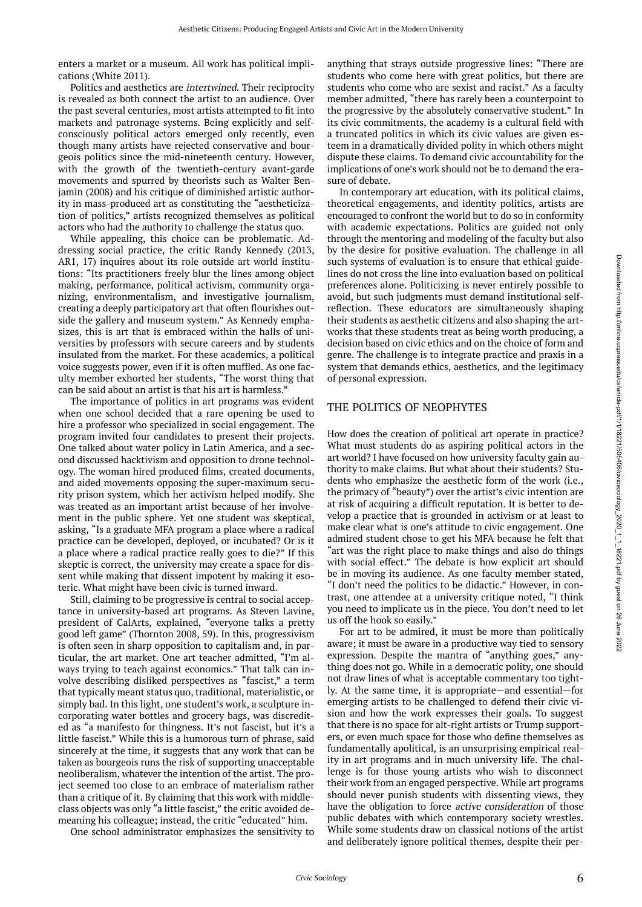enters a market or a museum. All work has political implications (White 2011).

Politics and aesthetics are intertwined. Their reciprocity is revealed as both connect the artist to an audience. Over the past several centuries, most artists attempted to fit into markets and patronage systems. Being explicitly and selfconsciously political actors emerged only recently, even though many artists have rejected conservative and bourgeois politics since the mid-nineteenth century. However, with the growth of the twentieth-century avant-garde movements and spurred by theorists such as Walter Benjamin (2008) and his critique of diminished artistic authority in mass-produced art as constituting the "aestheticization of politics," artists recognized themselves as political actors who had the authority to challenge the status quo.

While appealing, this choice can be problematic. Addressing social practice, the critic Randy Kennedy (2013, AR1, 17) inquires about its role outside art world institutions: "Its practitioners freely blur the lines among object making, performance, political activism, community organizing, environmentalism, and investigative journalism, creating a deeply participatory art that often flourishes outside the gallery and museum system." As Kennedy emphasizes, this is art that is embraced within the halls of universities by professors with secure careers and by students insulated from the market. For these academics, a political voice suggests power, even if it is often muffled. As one faculty member exhorted her students, "The worst thing that can be said about an artist is that his art is harmless."

The importance of politics in art programs was evident when one school decided that a rare opening be used to hire a professor who specialized in social engagement. The program invited four candidates to present their projects. One talked about water policy in Latin America, and a second discussed hacktivism and opposition to drone technology. The woman hired produced films, created documents, and aided movements opposing the super-maximum security prison system, which her activism helped modify. She was treated as an important artist because of her involvement in the public sphere. Yet one student was skeptical, asking, "Is a graduate MFA program a place where a radical practice can be developed, deployed, or incubated? Or is it a place where a radical practice really goes to die?" If this skeptic is correct, the university may create a space for dissent while making that dissent impotent by making it esoteric. What might have been civic is turned inward.

Still, claiming to be progressive is central to social acceptance in university-based art programs. As Steven Lavine, president of CalArts, explained, "everyone talks a pretty good left game" (Thornton 2008, 59). In this, progressivism is often seen in sharp opposition to capitalism and, in particular, the art market. One art teacher admitted, "I'm always trying to teach against economics." That talk can involve describing disliked perspectives as "fascist," a term that typically meant status quo, traditional, materialistic, or simply bad. In this light, one student's work, a sculpture incorporating water bottles and grocery bags, was discredited as "a manifesto for thingness. It's not fascist, but it's a little fascist." While this is a humorous turn of phrase, said sincerely at the time, it suggests that any work that can be taken as bourgeois runs the risk of supporting unacceptable neoliberalism, whatever the intention of the artist. The project seemed too close to an embrace of materialism rather than a critique of it. By claiming that this work with middleclass objects was only "a little fascist," the critic avoided demeaning his colleague; instead, the critic "educated" him.

One school administrator emphasizes the sensitivity to

anything that strays outside progressive lines: "There are students who come here with great politics, but there are students who come who are sexist and racist." As a faculty member admitted, "there has rarely been a counterpoint to the progressive by the absolutely conservative student." In its civic commitments, the academy is a cultural field with a truncated politics in which its civic values are given esteem in a dramatically divided polity in which others might dispute these claims. To demand civic accountability for the implications of one's work should not be to demand the erasure of debate.

In contemporary art education, with its political claims, theoretical engagements, and identity politics, artists are encouraged to confront the world but to do so in conformity with academic expectations. Politics are guided not only through the mentoring and modeling of the faculty but also by the desire for positive evaluation. The challenge in all such systems of evaluation is to ensure that ethical guidelines do not cross the line into evaluation based on political preferences alone. Politicizing is never entirely possible to avoid, but such judgments must demand institutional selfreflection. These educators are simultaneously shaping their students as aesthetic citizens and also shaping the artworks that these students treat as being worth producing, a decision based on civic ethics and on the choice of form and genre. The challenge is to integrate practice and praxis in a system that demands ethics, aesthetics, and the legitimacy of personal expression.

#### THE POLITICS OF NEOPHYTES

How does the creation of political art operate in practice? What must students do as aspiring political actors in the art world? I have focused on how university faculty gain authority to make claims. But what about their students? Students who emphasize the aesthetic form of the work (i.e., the primacy of "beauty") over the artist's civic intention are at risk of acquiring a difficult reputation. It is better to develop a practice that is grounded in activism or at least to make clear what is one's attitude to civic engagement. One admired student chose to get his MFA because he felt that "art was the right place to make things and also do things with social effect." The debate is how explicit art should be in moving its audience. As one faculty member stated, "I don't need the politics to be didactic." However, in contrast, one attendee at a university critique noted, "I think you need to implicate us in the piece. You don't need to let us off the hook so easily."

For art to be admired, it must be more than politically aware; it must be aware in a productive way tied to sensory expression. Despite the mantra of "anything goes," anything does not go. While in a democratic polity, one should not draw lines of what is acceptable commentary too tightly. At the same time, it is appropriate—and essential—for emerging artists to be challenged to defend their civic vision and how the work expresses their goals. To suggest that there is no space for alt-right artists or Trump supporters, or even much space for those who define themselves as fundamentally apolitical, is an unsurprising empirical reality in art programs and in much university life. The challenge is for those young artists who wish to disconnect their work from an engaged perspective. While art programs should never punish students with dissenting views, they have the obligation to force active consideration of those public debates with which contemporary society wrestles. While some students draw on classical notions of the artist and deliberately ignore political themes, despite their per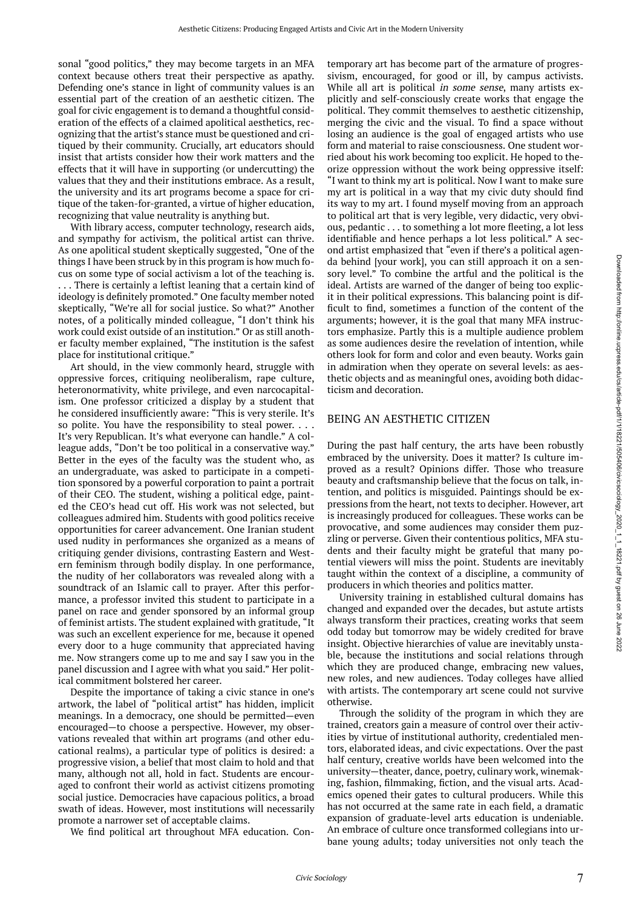sonal "good politics," they may become targets in an MFA context because others treat their perspective as apathy. Defending one's stance in light of community values is an essential part of the creation of an aesthetic citizen. The goal for civic engagement is to demand a thoughtful consideration of the effects of a claimed apolitical aesthetics, recognizing that the artist's stance must be questioned and critiqued by their community. Crucially, art educators should insist that artists consider how their work matters and the effects that it will have in supporting (or undercutting) the values that they and their institutions embrace. As a result, the university and its art programs become a space for critique of the taken-for-granted, a virtue of higher education, recognizing that value neutrality is anything but.

With library access, computer technology, research aids, and sympathy for activism, the political artist can thrive. As one apolitical student skeptically suggested, "One of the things I have been struck by in this program is how much focus on some type of social activism a lot of the teaching is. . . . There is certainly a leftist leaning that a certain kind of ideology is definitely promoted." One faculty member noted skeptically, "We're all for social justice. So what?" Another notes, of a politically minded colleague, "I don't think his work could exist outside of an institution." Or as still another faculty member explained, "The institution is the safest place for institutional critique."

Art should, in the view commonly heard, struggle with oppressive forces, critiquing neoliberalism, rape culture, heteronormativity, white privilege, and even narcocapitalism. One professor criticized a display by a student that he considered insufficiently aware: "This is very sterile. It's so polite. You have the responsibility to steal power. . . . It's very Republican. It's what everyone can handle." A colleague adds, "Don't be too political in a conservative way." Better in the eyes of the faculty was the student who, as an undergraduate, was asked to participate in a competition sponsored by a powerful corporation to paint a portrait of their CEO. The student, wishing a political edge, painted the CEO's head cut off. His work was not selected, but colleagues admired him. Students with good politics receive opportunities for career advancement. One Iranian student used nudity in performances she organized as a means of critiquing gender divisions, contrasting Eastern and Western feminism through bodily display. In one performance, the nudity of her collaborators was revealed along with a soundtrack of an Islamic call to prayer. After this performance, a professor invited this student to participate in a panel on race and gender sponsored by an informal group of feminist artists. The student explained with gratitude, "It was such an excellent experience for me, because it opened every door to a huge community that appreciated having me. Now strangers come up to me and say I saw you in the panel discussion and I agree with what you said." Her political commitment bolstered her career.

Despite the importance of taking a civic stance in one's artwork, the label of "political artist" has hidden, implicit meanings. In a democracy, one should be permitted—even encouraged—to choose a perspective. However, my observations revealed that within art programs (and other educational realms), a particular type of politics is desired: a progressive vision, a belief that most claim to hold and that many, although not all, hold in fact. Students are encouraged to confront their world as activist citizens promoting social justice. Democracies have capacious politics, a broad swath of ideas. However, most institutions will necessarily promote a narrower set of acceptable claims.

We find political art throughout MFA education. Con-

temporary art has become part of the armature of progressivism, encouraged, for good or ill, by campus activists. While all art is political *in some sense*, many artists explicitly and self-consciously create works that engage the political. They commit themselves to aesthetic citizenship, merging the civic and the visual. To find a space without losing an audience is the goal of engaged artists who use form and material to raise consciousness. One student worried about his work becoming too explicit. He hoped to theorize oppression without the work being oppressive itself: "I want to think my art is political. Now I want to make sure my art is political in a way that my civic duty should find its way to my art. I found myself moving from an approach to political art that is very legible, very didactic, very obvious, pedantic . . . to something a lot more fleeting, a lot less identifiable and hence perhaps a lot less political." A second artist emphasized that "even if there's a political agenda behind [your work], you can still approach it on a sensory level." To combine the artful and the political is the ideal. Artists are warned of the danger of being too explicit in their political expressions. This balancing point is difficult to find, sometimes a function of the content of the arguments; however, it is the goal that many MFA instructors emphasize. Partly this is a multiple audience problem as some audiences desire the revelation of intention, while others look for form and color and even beauty. Works gain in admiration when they operate on several levels: as aesthetic objects and as meaningful ones, avoiding both didacticism and decoration.

#### BEING AN AESTHETIC CITIZEN

During the past half century, the arts have been robustly embraced by the university. Does it matter? Is culture improved as a result? Opinions differ. Those who treasure beauty and craftsmanship believe that the focus on talk, intention, and politics is misguided. Paintings should be expressions from the heart, not texts to decipher. However, art is increasingly produced for colleagues. These works can be provocative, and some audiences may consider them puzzling or perverse. Given their contentious politics, MFA students and their faculty might be grateful that many potential viewers will miss the point. Students are inevitably taught within the context of a discipline, a community of producers in which theories and politics matter.

University training in established cultural domains has changed and expanded over the decades, but astute artists always transform their practices, creating works that seem odd today but tomorrow may be widely credited for brave insight. Objective hierarchies of value are inevitably unstable, because the institutions and social relations through which they are produced change, embracing new values, new roles, and new audiences. Today colleges have allied with artists. The contemporary art scene could not survive otherwise.

Through the solidity of the program in which they are trained, creators gain a measure of control over their activities by virtue of institutional authority, credentialed mentors, elaborated ideas, and civic expectations. Over the past half century, creative worlds have been welcomed into the university—theater, dance, poetry, culinary work, winemaking, fashion, filmmaking, fiction, and the visual arts. Academics opened their gates to cultural producers. While this has not occurred at the same rate in each field, a dramatic expansion of graduate-level arts education is undeniable. An embrace of culture once transformed collegians into urbane young adults; today universities not only teach the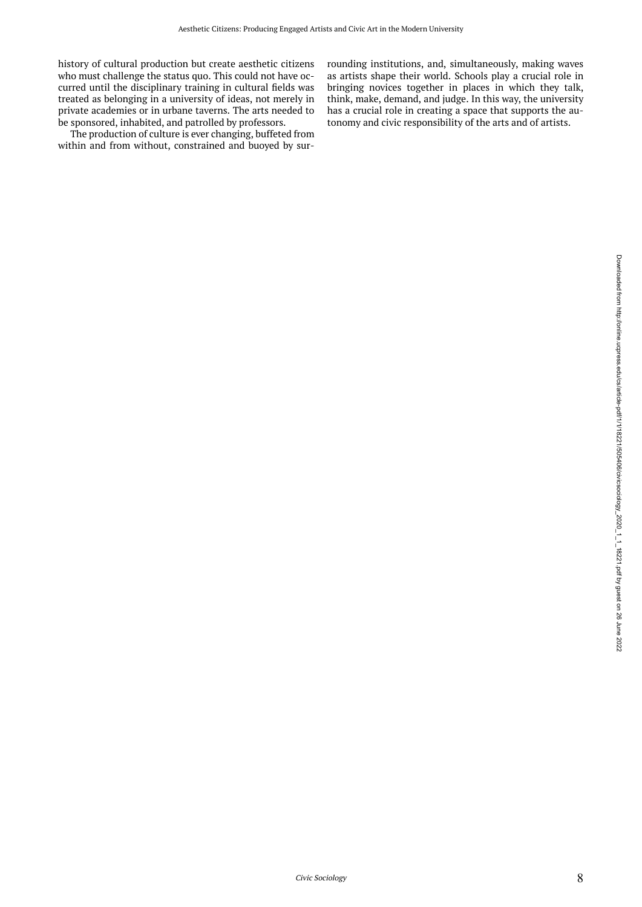history of cultural production but create aesthetic citizens who must challenge the status quo. This could not have occurred until the disciplinary training in cultural fields was treated as belonging in a university of ideas, not merely in private academies or in urbane taverns. The arts needed to be sponsored, inhabited, and patrolled by professors.

The production of culture is ever changing, buffeted from within and from without, constrained and buoyed by surrounding institutions, and, simultaneously, making waves as artists shape their world. Schools play a crucial role in bringing novices together in places in which they talk, think, make, demand, and judge. In this way, the university has a crucial role in creating a space that supports the autonomy and civic responsibility of the arts and of artists.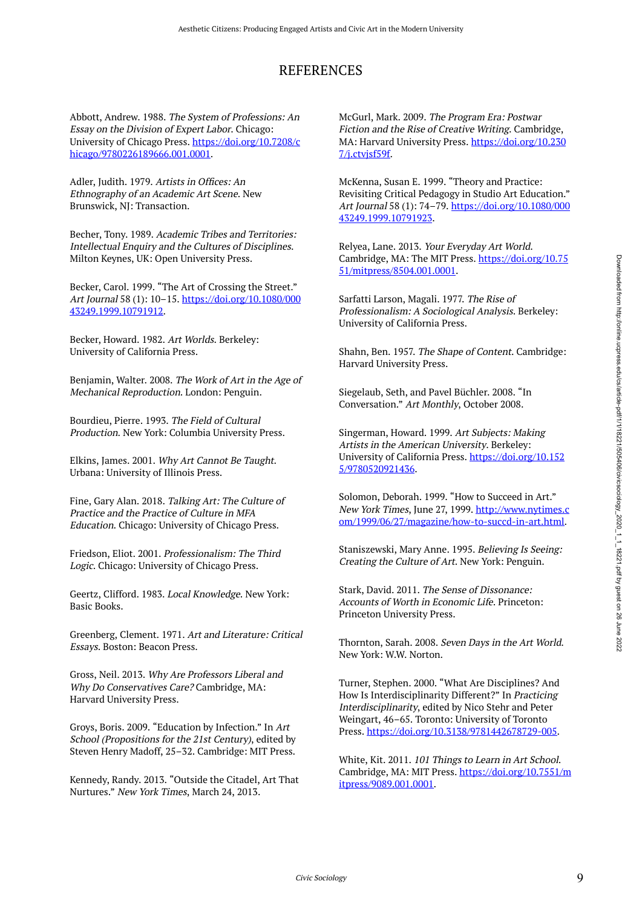## REFERENCES

Abbott, Andrew. 1988. The System of Professions: An Essay on the Division of Expert Labor. Chicago: University of Chicago Press. [https://doi.org/10.7208/c](https://doi.org/10.7208/chicago/9780226189666.001.0001) [hicago/9780226189666.001.0001](https://doi.org/10.7208/chicago/9780226189666.001.0001).

Adler, Judith. 1979. Artists in Offices: An Ethnography of an Academic Art Scene. New Brunswick, NJ: Transaction.

Becher, Tony. 1989. Academic Tribes and Territories: Intellectual Enquiry and the Cultures of Disciplines. Milton Keynes, UK: Open University Press.

Becker, Carol. 1999. "The Art of Crossing the Street." Art Journal 58 (1): 10–15. [https://doi.org/10.1080/000](https://doi.org/10.1080/00043249.1999.10791912) [43249.1999.10791912](https://doi.org/10.1080/00043249.1999.10791912).

Becker, Howard. 1982. Art Worlds. Berkeley: University of California Press.

Benjamin, Walter. 2008. The Work of Art in the Age of Mechanical Reproduction. London: Penguin.

Bourdieu, Pierre. 1993. The Field of Cultural Production. New York: Columbia University Press.

Elkins, James. 2001. Why Art Cannot Be Taught. Urbana: University of Illinois Press.

Fine, Gary Alan. 2018. Talking Art: The Culture of Practice and the Practice of Culture in MFA Education. Chicago: University of Chicago Press.

Friedson, Eliot. 2001. Professionalism: The Third Logic. Chicago: University of Chicago Press.

Geertz, Clifford. 1983. Local Knowledge. New York: Basic Books.

Greenberg, Clement. 1971. Art and Literature: Critical Essays. Boston: Beacon Press.

Gross, Neil. 2013. Why Are Professors Liberal and Why Do Conservatives Care? Cambridge, MA: Harvard University Press.

Groys, Boris. 2009. "Education by Infection." In Art School (Propositions for the 21st Century), edited by Steven Henry Madoff, 25–32. Cambridge: MIT Press.

Kennedy, Randy. 2013. "Outside the Citadel, Art That Nurtures." New York Times, March 24, 2013.

McGurl, Mark. 2009. The Program Era: Postwar Fiction and the Rise of Creative Writing. Cambridge, MA: Harvard University Press. [https://doi.org/10.230](https://doi.org/10.2307/j.ctvjsf59f) [7/j.ctvjsf59f.](https://doi.org/10.2307/j.ctvjsf59f)

McKenna, Susan E. 1999. "Theory and Practice: Revisiting Critical Pedagogy in Studio Art Education." Art Journal 58 (1): 74-79. [https://doi.org/10.1080/000](https://doi.org/10.1080/00043249.1999.10791923) [43249.1999.10791923](https://doi.org/10.1080/00043249.1999.10791923).

Relyea, Lane. 2013. Your Everyday Art World. Cambridge, MA: The MIT Press. [https://doi.org/10.75](https://doi.org/10.7551/mitpress/8504.001.0001) [51/mitpress/8504.001.0001.](https://doi.org/10.7551/mitpress/8504.001.0001)

Sarfatti Larson, Magali. 1977. The Rise of Professionalism: A Sociological Analysis. Berkeley: University of California Press.

Shahn, Ben. 1957. The Shape of Content. Cambridge: Harvard University Press.

Siegelaub, Seth, and Pavel Büchler. 2008. "In Conversation." Art Monthly, October 2008.

Singerman, Howard. 1999. Art Subjects: Making Artists in the American University. Berkeley: University of California Press. [https://doi.org/10.152](https://doi.org/10.1525/9780520921436) [5/9780520921436.](https://doi.org/10.1525/9780520921436)

Solomon, Deborah. 1999. "How to Succeed in Art." New York Times, June 27, 1999. [http://www.nytimes.c](http://www.nytimes.com/1999/06/27/magazine/how-to-succd-in-art.html) [om/1999/06/27/magazine/how-to-succd-in-art.html](http://www.nytimes.com/1999/06/27/magazine/how-to-succd-in-art.html).

Staniszewski, Mary Anne. 1995. Believing Is Seeing: Creating the Culture of Art. New York: Penguin.

Stark, David. 2011. The Sense of Dissonance: Accounts of Worth in Economic Life. Princeton: Princeton University Press.

Thornton, Sarah. 2008. Seven Days in the Art World. New York: W.W. Norton.

Turner, Stephen. 2000. "What Are Disciplines? And How Is Interdisciplinarity Different?" In Practicing Interdisciplinarity, edited by Nico Stehr and Peter Weingart, 46–65. Toronto: University of Toronto Press. [https://doi.org/10.3138/9781442678729-005.](https://doi.org/10.3138/9781442678729-005)

White, Kit. 2011. 101 Things to Learn in Art School. Cambridge, MA: MIT Press. [https://doi.org/10.7551/m](https://doi.org/10.7551/mitpress/9089.001.0001) [itpress/9089.001.0001](https://doi.org/10.7551/mitpress/9089.001.0001).